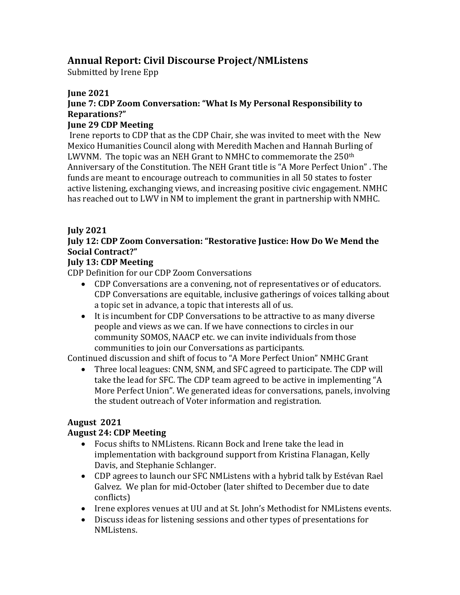# **Annual Report: Civil Discourse Project/NMListens**

Submitted by Irene Epp

#### **June 2021**

### **June 7: CDP Zoom Conversation: "What Is My Personal Responsibility to Reparations?"**

#### **June 29 CDP Meeting**

Irene reports to CDP that as the CDP Chair, she was invited to meet with the New Mexico Humanities Council along with Meredith Machen and Hannah Burling of LWVNM. The topic was an NEH Grant to NMHC to commemorate the  $250<sup>th</sup>$ Anniversary of the Constitution. The NEH Grant title is "A More Perfect Union" . The funds are meant to encourage outreach to communities in all 50 states to foster active listening, exchanging views, and increasing positive civic engagement. NMHC has reached out to LWV in NM to implement the grant in partnership with NMHC.

### **July 2021**

#### **July 12: CDP Zoom Conversation: "Restorative Justice: How Do We Mend the Social Contract?"**

### **July 13: CDP Meeting**

CDP Definition for our CDP Zoom Conversations

- CDP Conversations are a convening, not of representatives or of educators. CDP Conversations are equitable, inclusive gatherings of voices talking about a topic set in advance, a topic that interests all of us.
- It is incumbent for CDP Conversations to be attractive to as many diverse people and views as we can. If we have connections to circles in our community SOMOS, NAACP etc. we can invite individuals from those communities to join our Conversations as participants.

Continued discussion and shift of focus to "A More Perfect Union" NMHC Grant

• Three local leagues: CNM, SNM, and SFC agreed to participate. The CDP will take the lead for SFC. The CDP team agreed to be active in implementing "A More Perfect Union". We generated ideas for conversations, panels, involving the student outreach of Voter information and registration.

## **August 2021**

## **August 24: CDP Meeting**

- Focus shifts to NMListens. Ricann Bock and Irene take the lead in implementation with background support from Kristina Flanagan, Kelly Davis, and Stephanie Schlanger.
- CDP agrees to launch our SFC NMListens with a hybrid talk by Estévan Rael Galvez. We plan for mid-October (later shifted to December due to date conflicts)
- Irene explores venues at UU and at St. John's Methodist for NMListens events.
- Discuss ideas for listening sessions and other types of presentations for NMListens.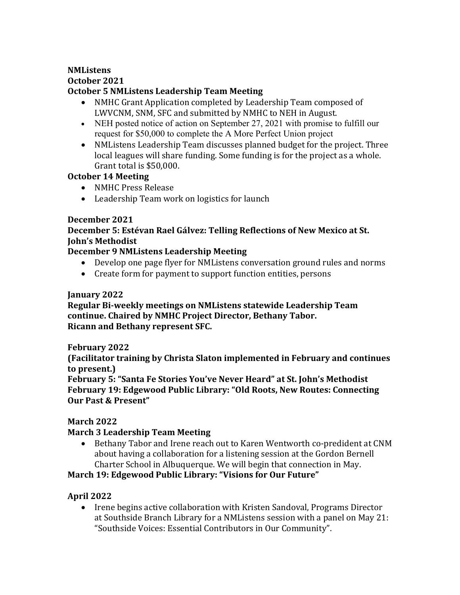#### **NMListens October 2021 October 5 NMListens Leadership Team Meeting**

- NMHC Grant Application completed by Leadership Team composed of LWVCNM, SNM, SFC and submitted by NMHC to NEH in August.
- NEH posted notice of action on September 27, 2021 with promise to fulfill our request for \$50,000 to complete the A More Perfect Union project
- NMListens Leadership Team discusses planned budget for the project. Three local leagues will share funding. Some funding is for the project as a whole. Grant total is \$50,000.

#### **October 14 Meeting**

- NMHC Press Release
- Leadership Team work on logistics for launch

### **December 2021**

### **December 5: Estévan Rael Gálvez: Telling Reflections of New Mexico at St. John's Methodist**

### **December 9 NMListens Leadership Meeting**

- Develop one page flyer for NMListens conversation ground rules and norms
- Create form for payment to support function entities, persons

#### **January 2022**

**Regular Bi-weekly meetings on NMListens statewide Leadership Team continue. Chaired by NMHC Project Director, Bethany Tabor. Ricann and Bethany represent SFC.**

#### **February 2022**

**(Facilitator training by Christa Slaton implemented in February and continues to present.)**

**February 5: "Santa Fe Stories You've Never Heard" at St. John's Methodist February 19: Edgewood Public Library: "Old Roots, New Routes: Connecting Our Past & Present"**

## **March 2022**

## **March 3 Leadership Team Meeting**

• Bethany Tabor and Irene reach out to Karen Wentworth co-predident at CNM about having a collaboration for a listening session at the Gordon Bernell Charter School in Albuquerque. We will begin that connection in May.

## **March 19: Edgewood Public Library: "Visions for Our Future"**

#### **April 2022**

• Irene begins active collaboration with Kristen Sandoval, Programs Director at Southside Branch Library for a NMListens session with a panel on May 21: "Southside Voices: Essential Contributors in Our Community".